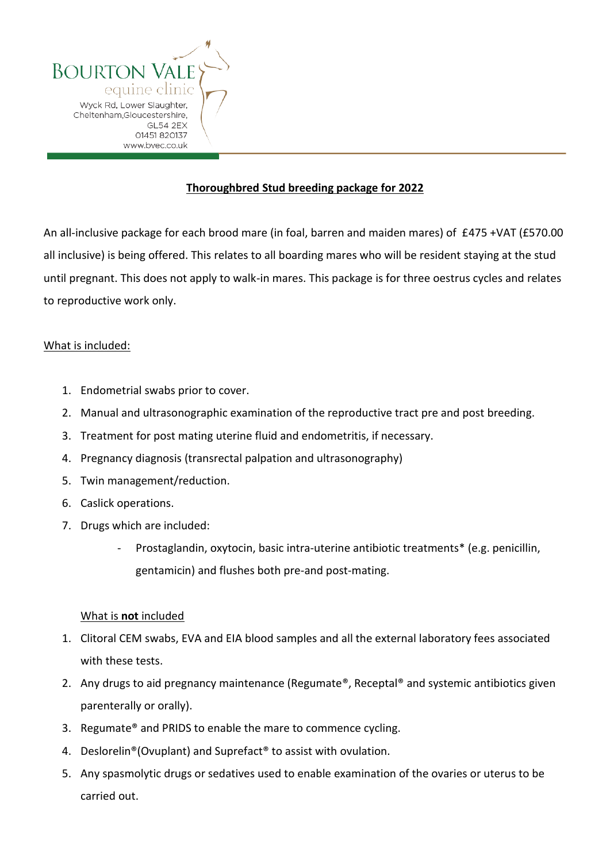

## **Thoroughbred Stud breeding package for 2022**

An all-inclusive package for each brood mare (in foal, barren and maiden mares) of £475 +VAT (£570.00 all inclusive) is being offered. This relates to all boarding mares who will be resident staying at the stud until pregnant. This does not apply to walk-in mares. This package is for three oestrus cycles and relates to reproductive work only.

### What is included:

- 1. Endometrial swabs prior to cover.
- 2. Manual and ultrasonographic examination of the reproductive tract pre and post breeding.
- 3. Treatment for post mating uterine fluid and endometritis, if necessary.
- 4. Pregnancy diagnosis (transrectal palpation and ultrasonography)
- 5. Twin management/reduction.
- 6. Caslick operations.
- 7. Drugs which are included:
	- Prostaglandin, oxytocin, basic intra-uterine antibiotic treatments\* (e.g. penicillin, gentamicin) and flushes both pre-and post-mating.

### What is **not** included

- 1. Clitoral CEM swabs, EVA and EIA blood samples and all the external laboratory fees associated with these tests.
- 2. Any drugs to aid pregnancy maintenance (Regumate®, Receptal® and systemic antibiotics given parenterally or orally).
- 3. Regumate® and PRIDS to enable the mare to commence cycling.
- 4. Deslorelin®(Ovuplant) and Suprefact® to assist with ovulation.
- 5. Any spasmolytic drugs or sedatives used to enable examination of the ovaries or uterus to be carried out.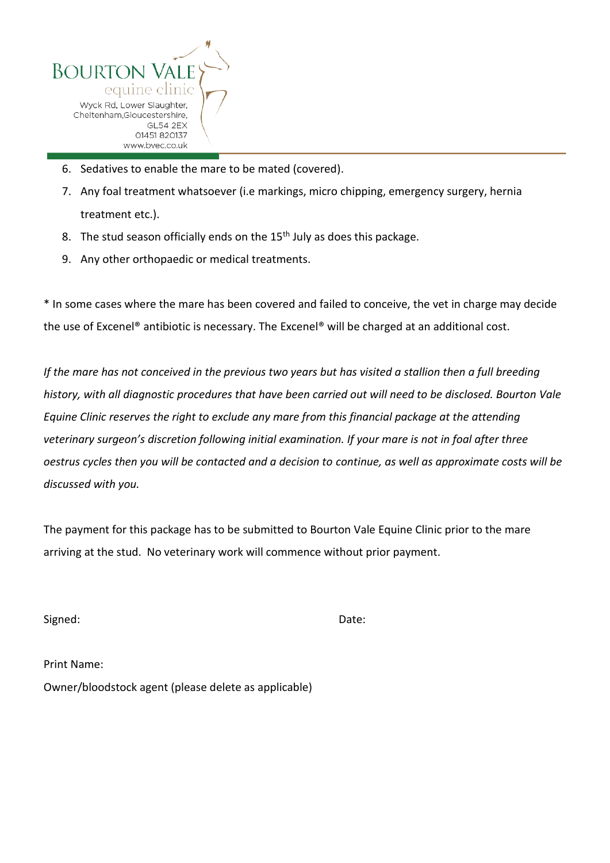

- 6. Sedatives to enable the mare to be mated (covered).
- 7. Any foal treatment whatsoever (i.e markings, micro chipping, emergency surgery, hernia treatment etc.).
- 8. The stud season officially ends on the 15<sup>th</sup> July as does this package.
- 9. Any other orthopaedic or medical treatments.

\* In some cases where the mare has been covered and failed to conceive, the vet in charge may decide the use of Excenel® antibiotic is necessary. The Excenel® will be charged at an additional cost.

*If the mare has not conceived in the previous two years but has visited a stallion then a full breeding history, with all diagnostic procedures that have been carried out will need to be disclosed. Bourton Vale Equine Clinic reserves the right to exclude any mare from this financial package at the attending veterinary surgeon's discretion following initial examination. If your mare is not in foal after three oestrus cycles then you will be contacted and a decision to continue, as well as approximate costs will be discussed with you.* 

The payment for this package has to be submitted to Bourton Vale Equine Clinic prior to the mare arriving at the stud. No veterinary work will commence without prior payment.

Signed: Date:

| Print Name:                                          |
|------------------------------------------------------|
| Owner/bloodstock agent (please delete as applicable) |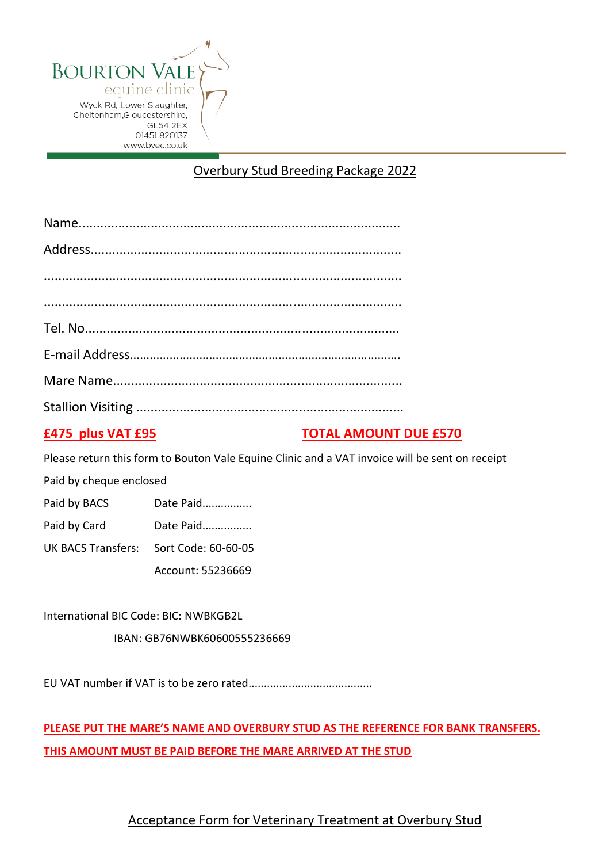

# Overbury Stud Breeding Package 2022

## **£475 plus VAT £95 TOTAL AMOUNT DUE £570**

Please return this form to Bouton Vale Equine Clinic and a VAT invoice will be sent on receipt

Paid by cheque enclosed

Paid by BACS Date Paid................

Paid by Card Date Paid................

UK BACS Transfers: Sort Code: 60-60-05

Account: 55236669

International BIC Code: BIC: NWBKGB2L IBAN: GB76NWBK60600555236669

EU VAT number if VAT is to be zero rated........................................

**PLEASE PUT THE MARE'S NAME AND OVERBURY STUD AS THE REFERENCE FOR BANK TRANSFERS. THIS AMOUNT MUST BE PAID BEFORE THE MARE ARRIVED AT THE STUD** 

## Acceptance Form for Veterinary Treatment at Overbury Stud